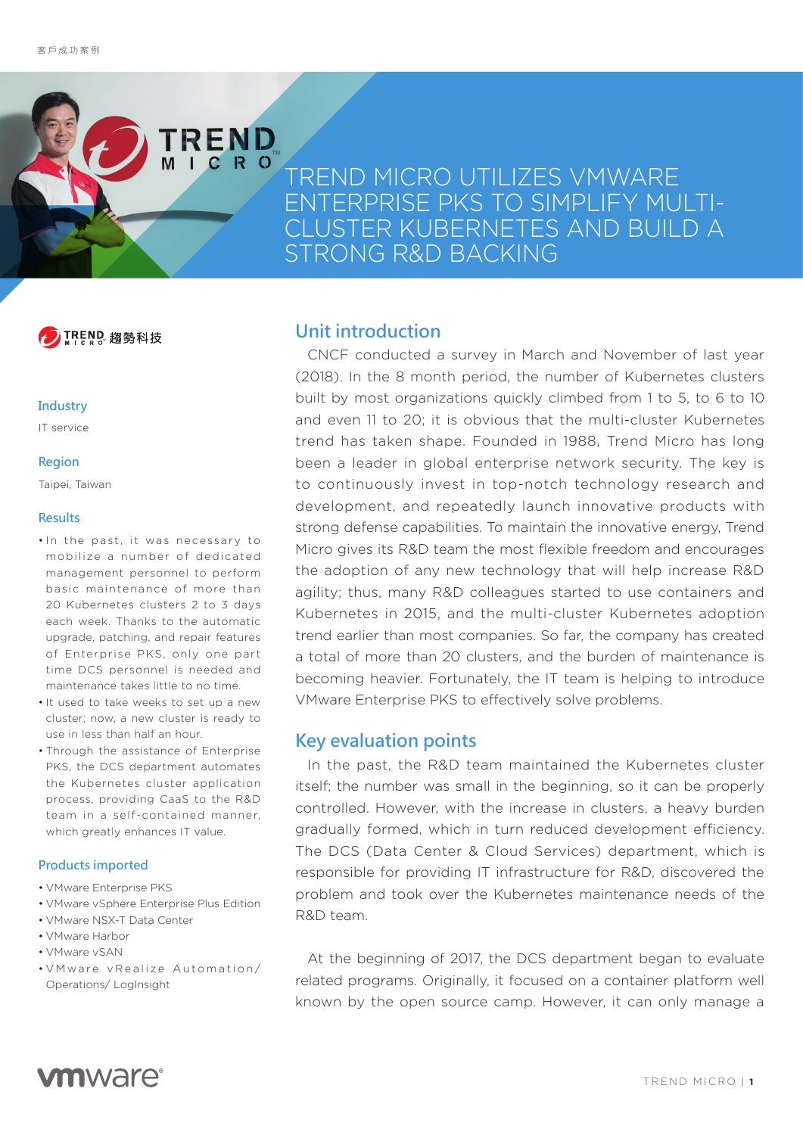# TREND MICRO UTILIZES VMWARE ENTERPRISE PKS TO SIMPLIFY MULTI-CLUSTER KUBERNETES AND BUILD A STRONG R&D BACKING

TREND 捣勢科技

TREND

#### **Industry**

IT service

#### **Region**

Taipei, Taiwan

### **Results**

- In the past, it was necessary to mobilize a number of dedicated management personnel to perform basic maintenance of more than 20 Kubernetes clusters 2 to 3 days each week. Thanks to the automatic upgrade, patching, and repair features of Enterprise PKS, only one part time DCS personnel is needed and maintenance takes little to no time.
- It used to take weeks to set up a new cluster; now, a new cluster is ready to use in less than half an hour.
- Through the assistance of Enterprise PKS, the DCS department automates the Kubernetes cluster application process, providing CaaS to the R&D team in a self-contained manner, which greatly enhances IT value.

### **Products imported**

- VMware Enterprise PKS
- VMware vSphere Enterprise Plus Edition
- VMware NSX-T Data Center
- VMware Harbor
- VMware vSAN
- V M w a re v Realize Automation/ Operations/ LogInsight

### **Unit introduction**

CNCF conducted a survey in March and November of last year (2018). In the 8 month period, the number of Kubernetes clusters built by most organizations quickly climbed from 1 to 5, to 6 to 10 and even 11 to 20; it is obvious that the multi-cluster Kubernetes trend has taken shape. Founded in 1988, Trend Micro has long been a leader in global enterprise network security. The key is to continuously invest in top-notch technology research and development, and repeatedly launch innovative products with strong defense capabilities. To maintain the innovative energy, Trend Micro gives its R&D team the most flexible freedom and encourages the adoption of any new technology that will help increase R&D agility; thus, many R&D colleagues started to use containers and Kubernetes in 2015, and the multi-cluster Kubernetes adoption trend earlier than most companies. So far, the company has created a total of more than 20 clusters, and the burden of maintenance is becoming heavier. Fortunately, the IT team is helping to introduce VMware Enterprise PKS to effectively solve problems.

### **Key evaluation points**

In the past, the R&D team maintained the Kubernetes cluster itself; the number was small in the beginning, so it can be properly controlled. However, with the increase in clusters, a heavy burden gradually formed, which in turn reduced development efficiency. The DCS (Data Center & Cloud Services) department, which is responsible for providing IT infrastructure for R&D, discovered the problem and took over the Kubernetes maintenance needs of the R&D team.

At the beginning of 2017, the DCS department began to evaluate related programs. Originally, it focused on a container platform well known by the open source camp. However, it can only manage a

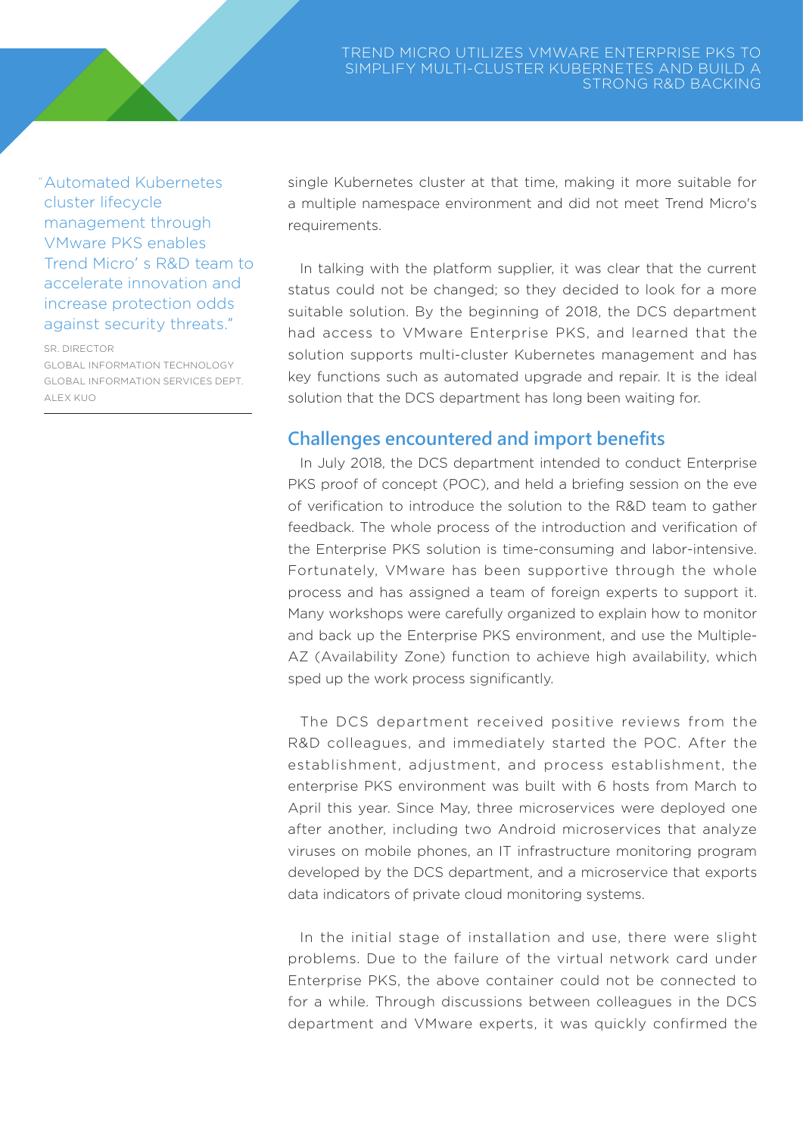"Automated Kubernetes cluster lifecycle management through VMware PKS enables Trend Micro's R&D team to accelerate innovation and increase protection odds against security threats."

#### SR. DIRECTOR

GLOBAL INFORMATION TECHNOLOGY GLOBAL INFORMATION SERVICES DEPT. ALEX KUO

single Kubernetes cluster at that time, making it more suitable for a multiple namespace environment and did not meet Trend Micro's requirements.

In talking with the platform supplier, it was clear that the current status could not be changed; so they decided to look for a more suitable solution. By the beginning of 2018, the DCS department had access to VMware Enterprise PKS, and learned that the solution supports multi-cluster Kubernetes management and has key functions such as automated upgrade and repair. It is the ideal solution that the DCS department has long been waiting for.

### **Challenges encountered and import benefits**

In July 2018, the DCS department intended to conduct Enterprise PKS proof of concept (POC), and held a briefing session on the eve of verification to introduce the solution to the R&D team to gather feedback. The whole process of the introduction and verification of the Enterprise PKS solution is time-consuming and labor-intensive. Fortunately, VMware has been supportive through the whole process and has assigned a team of foreign experts to support it. Many workshops were carefully organized to explain how to monitor and back up the Enterprise PKS environment, and use the Multiple-AZ (Availability Zone) function to achieve high availability, which sped up the work process significantly.

The DCS department received positive reviews from the R&D colleagues, and immediately started the POC. After the establishment, adjustment, and process establishment, the enterprise PKS environment was built with 6 hosts from March to April this year. Since May, three microservices were deployed one after another, including two Android microservices that analyze viruses on mobile phones, an IT infrastructure monitoring program developed by the DCS department, and a microservice that exports data indicators of private cloud monitoring systems.

In the initial stage of installation and use, there were slight problems. Due to the failure of the virtual network card under Enterprise PKS, the above container could not be connected to for a while. Through discussions between colleagues in the DCS department and VMware experts, it was quickly confirmed the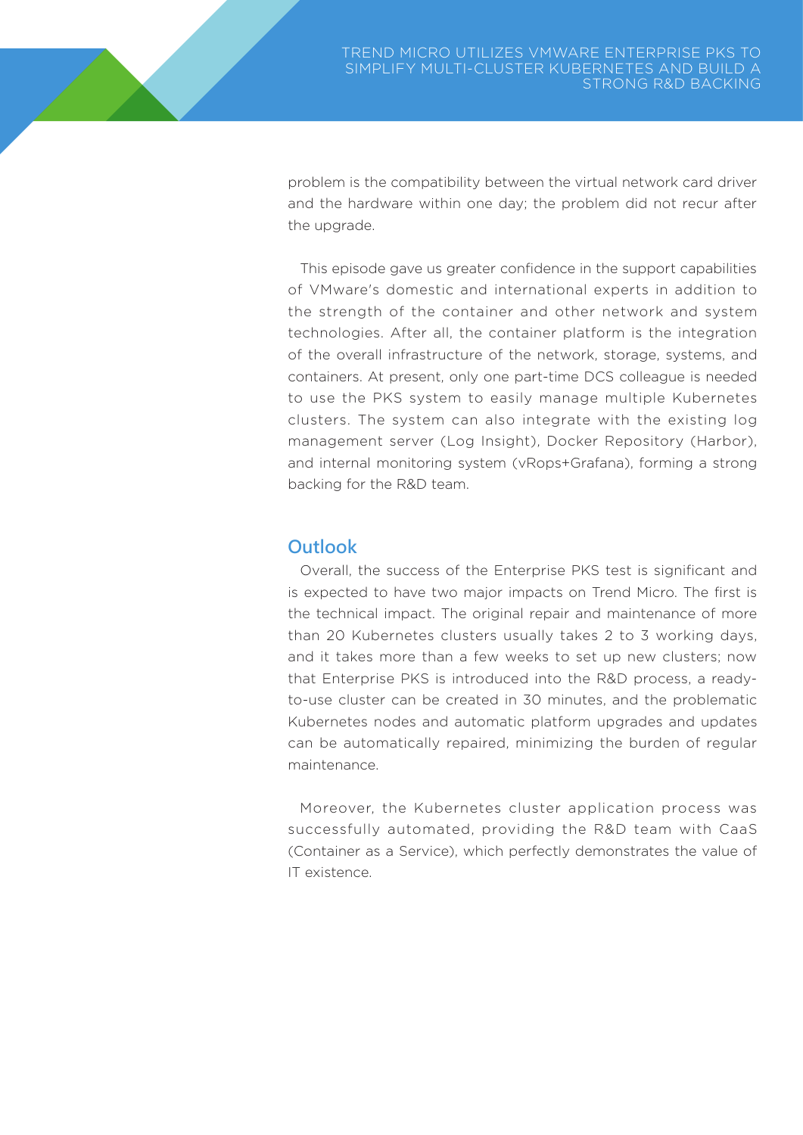problem is the compatibility between the virtual network card driver and the hardware within one day; the problem did not recur after the upgrade.

This episode gave us greater confidence in the support capabilities of VMware's domestic and international experts in addition to the strength of the container and other network and system technologies. After all, the container platform is the integration of the overall infrastructure of the network, storage, systems, and containers. At present, only one part-time DCS colleague is needed to use the PKS system to easily manage multiple Kubernetes clusters. The system can also integrate with the existing log management server (Log Insight), Docker Repository (Harbor), and internal monitoring system (vRops+Grafana), forming a strong backing for the R&D team.

## **Outlook**

Overall, the success of the Enterprise PKS test is significant and is expected to have two major impacts on Trend Micro. The first is the technical impact. The original repair and maintenance of more than 20 Kubernetes clusters usually takes 2 to 3 working days, and it takes more than a few weeks to set up new clusters; now that Enterprise PKS is introduced into the R&D process, a readyto-use cluster can be created in 30 minutes, and the problematic Kubernetes nodes and automatic platform upgrades and updates can be automatically repaired, minimizing the burden of regular maintenance.

Moreover, the Kubernetes cluster application process was successfully automated, providing the R&D team with CaaS (Container as a Service), which perfectly demonstrates the value of IT existence.